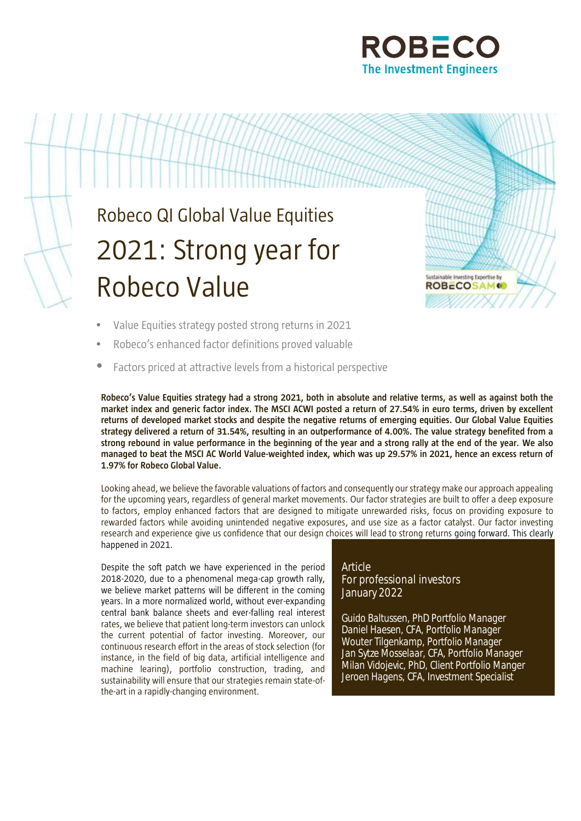

# Robeco QI Global Value Equities 2021: Strong year for Robeco Value



- Value Equities strategy posted strong returns in 2021
- Robeco's enhanced factor definitions proved valuable
- Factors priced at attractive levels from a historical perspective

**Robeco's Value Equities strategy had a strong 2021, both in absolute and relative terms, as well as against both the market index and generic factor index. The MSCI ACWI posted a return of 27.54% in euro terms, driven by excellent returns of developed market stocks and despite the negative returns of emerging equities. Our Global Value Equities strategy delivered a return of 31.54%, resulting in an outperformance of 4.00%. The value strategy benefited from a strong rebound in value performance in the beginning of the year and a strong rally at the end of the year. We also managed to beat the MSCI AC World Value-weighted index, which was up 29.57% in 2021, hence an excess return of 1.97% for Robeco Global Value.** 

Looking ahead, we believe the favorable valuations of factors and consequently our strategy make our approach appealing for the upcoming years, regardless of general market movements. Our factor strategies are built to offer a deep exposure to factors, employ enhanced factors that are designed to mitigate unrewarded risks, focus on providing exposure to rewarded factors while avoiding unintended negative exposures, and use size as a factor catalyst. Our factor investing research and experience give us confidence that our design choices will lead to strong returns going forward. This clearly happened in 2021.

Despite the soft patch we have experienced in the period 2018-2020, due to a phenomenal mega-cap growth rally, we believe market patterns will be different in the coming years. In a more normalized world, without ever-expanding central bank balance sheets and ever-falling real interest rates, we believe that patient long-term investors can unlock the current potential of factor investing. Moreover, our continuous research effort in the areas of stock selection (for instance, in the field of big data, artificial intelligence and machine learing), portfolio construction, trading, and sustainability will ensure that our strategies remain state-ofthe-art in a rapidly-changing environment.

# Article For professional investors January 2022

Guido Baltussen, PhD Portfolio Manager Daniel Haesen, CFA, Portfolio Manager Wouter Tilgenkamp, Portfolio Manager Jan Sytze Mosselaar, CFA, Portfolio Manager Milan Vidojevic, PhD, Client Portfolio Manger Jeroen Hagens, CFA, Investment Specialist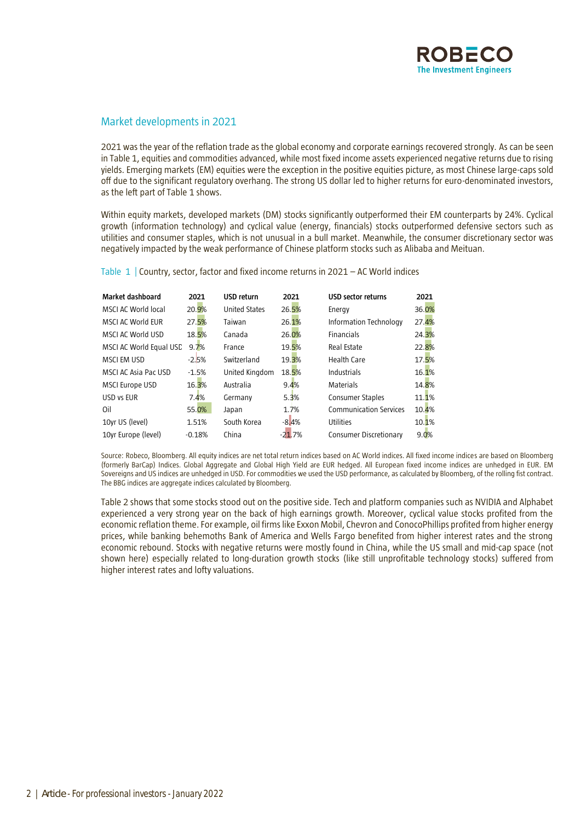

# Market developments in 2021

2021 was the year of the reflation trade as the global economy and corporate earnings recovered strongly. As can be seen in Table 1, equities and commodities advanced, while most fixed income assets experienced negative returns due to rising yields. Emerging markets (EM) equities were the exception in the positive equities picture, as most Chinese large-caps sold off due to the significant regulatory overhang. The strong US dollar led to higher returns for euro-denominated investors, as the left part of Table 1 shows.

Within equity markets, developed markets (DM) stocks significantly outperformed their EM counterparts by 24%. Cyclical growth (information technology) and cyclical value (energy, financials) stocks outperformed defensive sectors such as utilities and consumer staples, which is not unusual in a bull market. Meanwhile, the consumer discretionary sector was negatively impacted by the weak performance of Chinese platform stocks such as Alibaba and Meituan.

| Market dashboard        | 2021     | <b>USD return</b>    | 2021     | USD sector returns            | 2021  |
|-------------------------|----------|----------------------|----------|-------------------------------|-------|
| MSCI AC World local     | 20.9%    | <b>United States</b> | 26.5%    | Energy                        | 36.0% |
| MSCI AC World EUR       | 27.5%    | Taiwan               | 26.1%    | Information Technology        | 27.4% |
| MSCLAC World USD        | 18.5%    | Canada               | 26.0%    | <b>Financials</b>             | 24.3% |
| MSCI AC World Equal USC | 9.7%     | France               | 19.5%    | Real Estate                   | 22.8% |
| <b>MSCI EM USD</b>      | $-2.5%$  | Switzerland          | 19.3%    | Health Care                   | 17.5% |
| MSCI AC Asia Pac USD    | $-1.5%$  | United Kingdom       | 18.5%    | Industrials                   | 16.1% |
| <b>MSCI Europe USD</b>  | 16.3%    | Australia            | 9.4%     | Materials                     | 14.8% |
| USD vs EUR              | 7.4%     | Germany              | 5.3%     | Consumer Staples              | 11.1% |
| Oil                     | 55.0%    | Japan                | 1.7%     | <b>Communication Services</b> | 10.4% |
| 10yr US (level)         | 1.51%    | South Korea          | $-8.4%$  | Utilities                     | 10.1% |
| 10yr Europe (level)     | $-0.18%$ | China                | $-21.7%$ | <b>Consumer Discretionary</b> | 9.0%  |

Table 1 | Country, sector, factor and fixed income returns in 2021 – AC World indices

Source: Robeco, Bloomberg. All equity indices are net total return indices based on AC World indices. All fixed income indices are based on Bloomberg (formerly BarCap) Indices. Global Aggregate and Global High Yield are EUR hedged. All European fixed income indices are unhedged in EUR. EM Sovereigns and US indices are unhedged in USD. For commodities we used the USD performance, as calculated by Bloomberg, of the rolling fist contract. The BBG indices are aggregate indices calculated by Bloomberg.

Table 2 shows that some stocks stood out on the positive side. Tech and platform companies such as NVIDIA and Alphabet experienced a very strong year on the back of high earnings growth. Moreover, cyclical value stocks profited from the economic reflation theme. For example, oil firms like Exxon Mobil, Chevron and ConocoPhillips profited from higher energy prices, while banking behemoths Bank of America and Wells Fargo benefited from higher interest rates and the strong economic rebound. Stocks with negative returns were mostly found in China, while the US small and mid-cap space (not shown here) especially related to long-duration growth stocks (like still unprofitable technology stocks) suffered from higher interest rates and lofty valuations.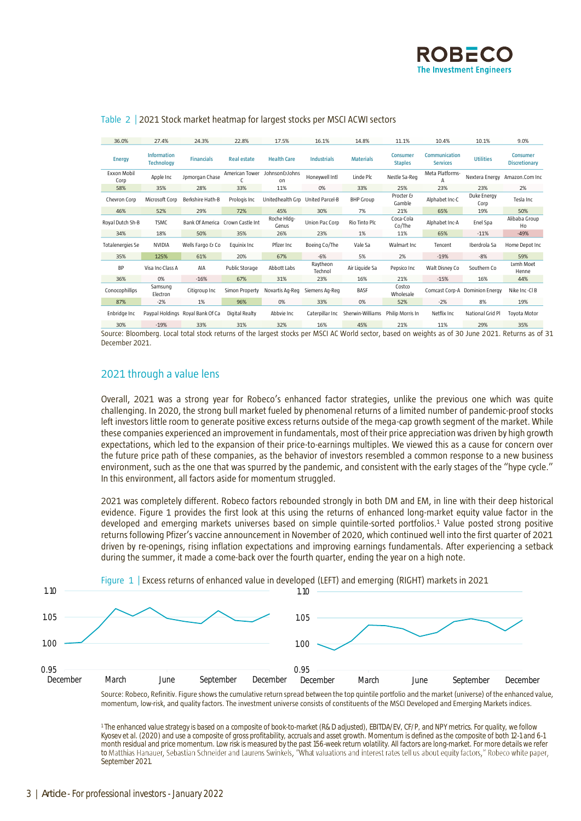

| 36.0%                      | 27.4%                                   | 24.3%                            | 22.8%              | 17.5%                | 16.1%               | 14.8%            | 11.1%                             | 10.4%                                   | 10.1%                          | 9.0%                                    |
|----------------------------|-----------------------------------------|----------------------------------|--------------------|----------------------|---------------------|------------------|-----------------------------------|-----------------------------------------|--------------------------------|-----------------------------------------|
| <b>Energy</b>              | <b>Information</b><br><b>Technology</b> | <b>Financials</b>                | <b>Real estate</b> | <b>Health Care</b>   | <b>Industrials</b>  | <b>Materials</b> | <b>Consumer</b><br><b>Staples</b> | <b>Communication</b><br><b>Services</b> | <b>Utilities</b>               | <b>Consumer</b><br><b>Discretionary</b> |
| <b>Fxxon Mobil</b><br>Corp | Apple Inc                               | Jpmorgan Chase                   | American Tower     | Johnson&Johns<br>on  | Honeywell Intl      | Linde Plc        | Nestle Sa-Reg                     | Meta Platforms-                         | Nextera Energy                 | Amazon.Com Inc                          |
| 58%                        | 35%                                     | 28%                              | 33%                | 11%                  | 0%                  | 33%              | 25%                               | 23%                                     | 23%                            | 2%                                      |
| Chevron Corp               | Microsoft Corp                          | Berkshire Hath-B                 | Prologis Inc       | Unitedhealth Gro     | United Parcel-B     | <b>BHP Group</b> | Procter &<br>Gamble               | Alphabet Inc-C                          | Duke Energy<br>Corp            | Tesla Inc                               |
| 46%                        | 52%                                     | 29%                              | 72%                | 45%                  | 30%                 | 7%               | 21%                               | 65%                                     | 19%                            | 50%                                     |
| Royal Dutch Sh-B           | <b>TSMC</b>                             | <b>Bank Of America</b>           | Crown Castle Int   | Roche Hldg-<br>Genus | Union Pac Corp      | Rio Tinto Plc    | Coca-Cola<br>Co/The               | Alphabet Inc-A                          | Enel Spa                       | Alibaba Group<br>Ho                     |
| 34%                        | 18%                                     | 50%                              | 35%                | 26%                  | 23%                 | 1%               | 11%                               | 65%                                     | $-11%$                         | $-49%$                                  |
| Totalenergies Se           | <b>NVIDIA</b>                           | Wells Fargo & Co                 | Equinix Inc.       | Pfizer Inc           | Boeing Co/The       | Vale Sa          | Walmart Inc                       | Tencent                                 | Iberdrola Sa                   | Home Depot Inc                          |
| 35%                        | 125%                                    | 61%                              | 20%                | 67%                  | $-6%$               | 5%               | 2%                                | $-19%$                                  | $-8%$                          | 59%                                     |
| <b>BP</b>                  | Visa Inc-Class A                        | AIA                              | Public Storage     | Abbott Labs          | Raytheon<br>Technol | Air Liquide Sa   | Pepsico Inc                       | Walt Disney Co                          | Southern Co                    | Lymh Moet<br>Henne                      |
| 36%                        | 0%                                      | $-16%$                           | 67%                | 31%                  | 23%                 | 16%              | 21%                               | $-15%$                                  | 16%                            | 44%                                     |
| Conocophillips             | Samsung<br>Electron                     | Citigroup Inc                    | Simon Property     | Novartis Ag-Reg      | Siemens Ag-Reg      | <b>BASF</b>      | Costco<br>Wholesale               |                                         | Comcast Corp-A Dominion Energy | Nike Inc-Cl B                           |
| 87%                        | $-2%$                                   | 1%                               | 96%                | 0%                   | 33%                 | 0%               | 52%                               | $-2%$                                   | 8%                             | 19%                                     |
| Enbridge Inc               |                                         | Paypal Holdings Royal Bank Of Ca | Digital Realty     | Abbyie Inc           | Caterpillar Inc     | Sherwin-Williams | Philip Morris In                  | Netflix Inc                             | National Grid Pl               | Tovota Motor                            |

# Table 2 | 2021 Stock market heatmap for largest stocks per MSCI ACWI sectors

Source: Bloomberg. Local total stock returns of the largest stocks per MSCI AC World sector, based on weights as of 30 June 2021. Returns as of 31 December 2021. 30% -19% 33% 31% 32% 16% 45% 21% 11% 29% 35%

# 2021 through a value lens

Overall, 2021 was a strong year for Robeco's enhanced factor strategies, unlike the previous one which was quite challenging. In 2020, the strong bull market fueled by phenomenal returns of a limited number of pandemic-proof stocks left investors little room to generate positive excess returns outside of the mega-cap growth segment of the market. While these companies experienced an improvement in fundamentals, most of their price appreciation was driven by high growth expectations, which led to the expansion of their price-to-earnings multiples. We viewed this as a cause for concern over the future price path of these companies, as the behavior of investors resembled a common response to a new business environment, such as the one that was spurred by the pandemic, and consistent with the early stages of the "hype cycle." In this environment, all factors aside for momentum struggled.

2021 was completely different. Robeco factors rebounded strongly in both DM and EM, in line with their deep historical evidence. Figure 1 provides the first look at this using the returns of enhanced long-market equity value factor in the developed and emerging markets universes based on simple quintile-sorted portfolios. <sup>1</sup> Value posted strong positive returns following Pfizer's vaccine announcement in November of 2020, which continued well into the first quarter of 2021 driven by re-openings, rising inflation expectations and improving earnings fundamentals. After experiencing a setback during the summer, it made a come-back over the fourth quarter, ending the year on a high note.



Source: Robeco, Refinitiv. Figure shows the cumulative return spread between the top quintile portfolio and the market (universe) of the enhanced value, momentum, low-risk, and quality factors. The investment universe consists of constituents of the MSCI Developed and Emerging Markets indices.

1 The enhanced value strategy is based on a composite of book-to-market (R&D adjusted), EBITDA/EV, CF/P, and NPY metrics. For quality, we follow Kyosev et al. (2020) and use a composite of gross profitability, accruals and asset growth. Momentum is defined as the composite of both 12-1 and 6-1 month residual and price momentum. Low risk is measured by the past 156-week return volatility. All factors are long-market. For more details we refer to September 2021.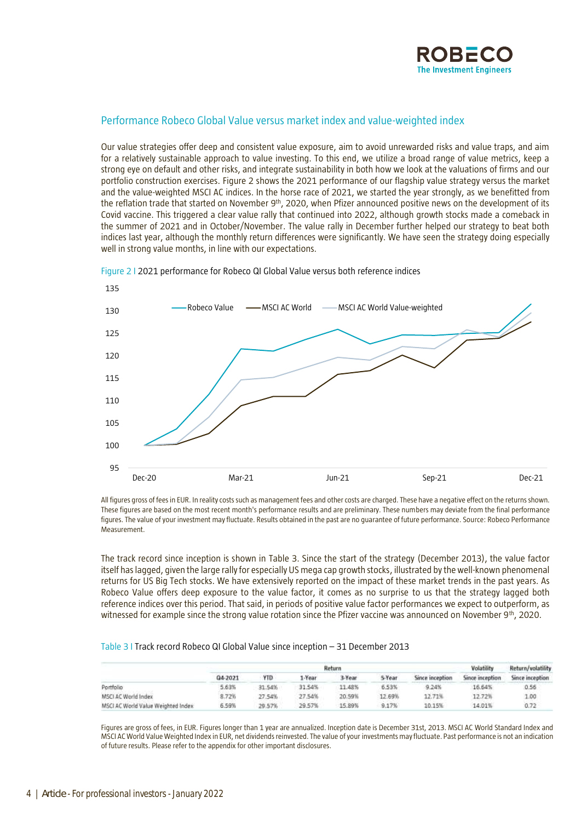

# Performance Robeco Global Value versus market index and value-weighted index

Our value strategies offer deep and consistent value exposure, aim to avoid unrewarded risks and value traps, and aim for a relatively sustainable approach to value investing. To this end, we utilize a broad range of value metrics, keep a strong eye on default and other risks, and integrate sustainability in both how we look at the valuations of firms and our portfolio construction exercises. Figure 2 shows the 2021 performance of our flagship value strategy versus the market and the value-weighted MSCI AC indices. In the horse race of 2021, we started the year strongly, as we benefitted from the reflation trade that started on November 9<sup>th</sup>, 2020, when Pfizer announced positive news on the development of its Covid vaccine. This triggered a clear value rally that continued into 2022, although growth stocks made a comeback in the summer of 2021 and in October/November. The value rally in December further helped our strategy to beat both indices last year, although the monthly return differences were significantly. We have seen the strategy doing especially well in strong value months, in line with our expectations.



Figure 2 I 2021 performance for Robeco QI Global Value versus both reference indices

All figures gross of fees in EUR. In reality costs such as management fees and other costs are charged. These have a negative effect on the returns shown. These figures are based on the most recent month's performance results and are preliminary. These numbers may deviate from the final performance figures. The value of your investment may fluctuate. Results obtained in the past are no guarantee of future performance. Source: Robeco Performance Measurement.

The track record since inception is shown in Table 3. Since the start of the strategy (December 2013), the value factor itself has lagged, given the large rally for especially US mega cap growth stocks, illustrated bythe well-known phenomenal returns for US Big Tech stocks. We have extensively reported on the impact of these market trends in the past years. As Robeco Value offers deep exposure to the value factor, it comes as no surprise to us that the strategy lagged both reference indices over this period. That said, in periods of positive value factor performances we expect to outperform, as witnessed for example since the strong value rotation since the Pfizer vaccine was announced on November 9<sup>th</sup>, 2020.

# Table 3 I Track record Robeco QI Global Value since inception – 31 December 2013

|                                    |         |        | Volatility | Return/volatility |        |                 |                 |                 |
|------------------------------------|---------|--------|------------|-------------------|--------|-----------------|-----------------|-----------------|
|                                    | 04-2021 | YTD.   | I-Year     | 3-Year            | 5-Year | Since inception | Since inception | Since inception |
| Portfolio                          | 5.63%   | 31.54% | 31.54%     | 11.48%            | 6.53%  | 9.24%           | 16.64%          | 0.56            |
| MSCI AC World Index                | 8.72%   | 27.54% | 27.54%     | 20.59%            | 12.69% | 12.71%          | 12.72%          | 00.1            |
| MSCI AC World Value Weighted Index | 6.59%   | 29.57% | 29.57%     | 15,89%            | 9.17%  | 10.15%          | 14.01%          | 0.72            |

Figures are gross of fees, in EUR. Figures longer than 1 year are annualized. Inception date is December 31st, 2013. MSCI AC World Standard Index and MSCI AC World Value Weighted Index in EUR, net dividends reinvested. The value of your investments may fluctuate. Past performance is not an indication of future results. Please refer to the appendix for other important disclosures.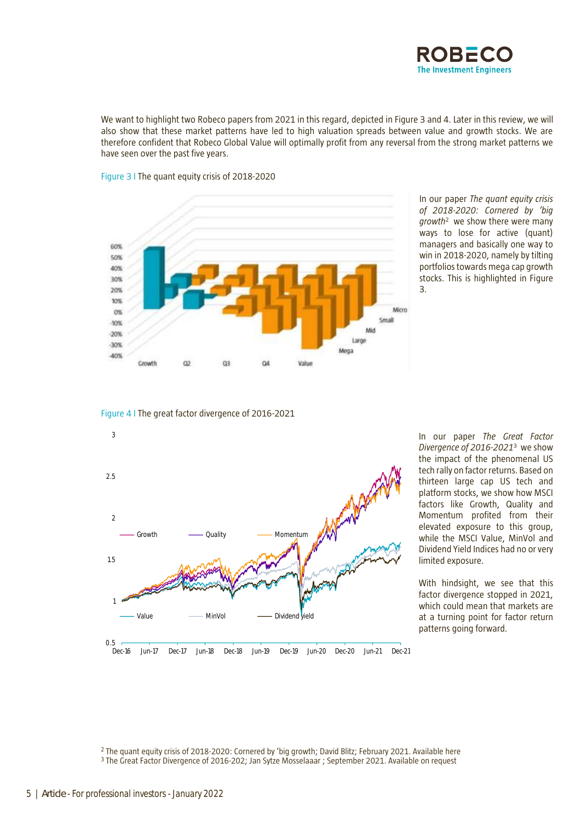

We want to highlight two Robeco papers from 2021 in this regard, depicted in Figure 3 and 4. Later in this review, we will also show that these market patterns have led to high valuation spreads between value and growth stocks. We are therefore confident that Robeco Global Value will optimally profit from any reversal from the strong market patterns we have seen over the past five years.



Figure 3 I The quant equity crisis of 2018-2020

In our paper *The quant equity crisis of 2018-2020: Cornered by 'big growth*<sup>2</sup> we show there were many ways to lose for active (quant) managers and basically one way to win in 2018-2020, namely by tilting portfolios towards mega cap growth stocks. This is highlighted in Figure 3.

# Figure 4 I The great factor divergence of 2016-2021



In our paper *The Great Factor Divergence of 2016-2021*<sup>3</sup> we show the impact of the phenomenal US tech rally on factor returns. Based on thirteen large cap US tech and platform stocks, we show how MSCI factors like Growth, Quality and Momentum profited from their elevated exposure to this group, while the MSCI Value, MinVol and Dividend Yield Indices had no or very limited exposure.

With hindsight, we see that this factor divergence stopped in 2021, which could mean that markets are at a turning point for factor return patterns going forward.

<sup>2</sup> The quant equity crisis of 2018-2020: Cornered by 'big growth; David Blitz; February 2021. Availabl[e here](https://www.robeco.com/en/insights/2021/02/the-quant-equity-crisis-of-2018-2020-cornered-by-big-growth.html)  <sup>3</sup> The Great Factor Divergence of 2016-202; Jan Sytze Mosselaaar ; September 2021. Available on request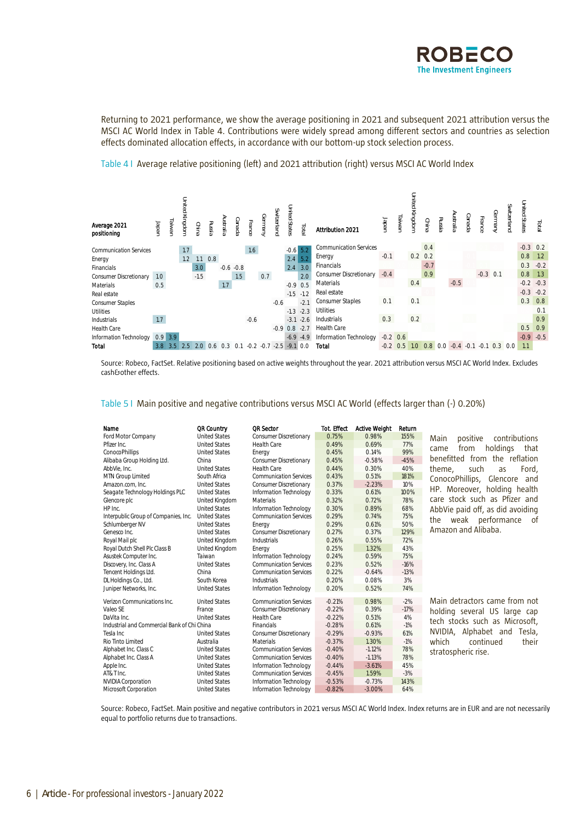

Returning to 2021 performance, we show the average positioning in 2021 and subsequent 2021 attribution versus the MSCI AC World Index in Table 4. Contributions were widely spread among different sectors and countries as selection effects dominated allocation effects, in accordance with our bottom-up stock selection process.



Table 4 I Average relative positioning (left) and 2021 attribution (right) versus MSCI AC World Index

Source: Robeco, FactSet. Relative positioning based on active weights throughout the year. 2021 attribution versus MSCI AC World Index. Excludes cash&other effects.

Table 5 I Main positive and negative contributions versus MSCI AC World (effects larger than (-) 0.20%)

| Name                                        | <b>QR Country</b>    | <b>OR Sector</b>              | Tot. Effect | <b>Active Weight</b> | Return |                                    |
|---------------------------------------------|----------------------|-------------------------------|-------------|----------------------|--------|------------------------------------|
| Ford Motor Company                          | <b>United States</b> | <b>Consumer Discretionary</b> | 0.75%       | 0.98%                | 155%   | positive<br>contributions<br>Main  |
| Pfizer Inc.                                 | <b>United States</b> | <b>Health Care</b>            | 0.49%       | 0.69%                | 77%    | holdings<br>from<br>that<br>came   |
| ConocoPhillips                              | <b>United States</b> | Energy                        | 0.45%       | 0.14%                | 99%    |                                    |
| Alibaba Group Holding Ltd.                  | China                | <b>Consumer Discretionary</b> | 0.45%       | $-0.58%$             | $-45%$ | benefitted from the reflation      |
| AbbVie. Inc.                                | <b>United States</b> | Health Care                   | 0.44%       | 0.30%                | 40%    | Ford.<br>theme,<br>such<br>as      |
| MTN Group Limited                           | South Africa         | <b>Communication Services</b> | 0.43%       | 0.51%                | 181%   | ConocoPhillips,<br>Glencore<br>and |
| Amazon.com. Inc.                            | <b>United States</b> | <b>Consumer Discretionary</b> | 0.37%       | $-2.23%$             | 10%    | HP. Moreover, holding health       |
| Seagate Technology Holdings PLC             | <b>United States</b> | Information Technology        | 0.33%       | 0.61%                | 100%   |                                    |
| Glencore plc                                | United Kingdom       | Materials                     | 0.32%       | 0.72%                | 78%    | care stock such as Pfizer and      |
| HP Inc.                                     | <b>United States</b> | Information Technology        | 0.30%       | 0.89%                | 68%    | AbbVie paid off, as did avoiding   |
| Interpublic Group of Companies, Inc.        | <b>United States</b> | <b>Communication Services</b> | 0.29%       | 0.74%                | 75%    | weak performance<br>the<br>of      |
| Schlumberger NV                             | <b>United States</b> | Energy                        | 0.29%       | 0.61%                | 50%    |                                    |
| Genesco Inc.                                | <b>United States</b> | <b>Consumer Discretionary</b> | 0.27%       | 0.37%                | 129%   | Amazon and Alibaba.                |
| Royal Mail plc                              | United Kingdom       | Industrials                   | 0.26%       | 0.55%                | 72%    |                                    |
| Royal Dutch Shell Plc Class B               | United Kingdom       | Energy                        | 0.25%       | 1.32%                | 43%    |                                    |
| Asustek Computer Inc.                       | Taiwan               | Information Technology        | 0.24%       | 0.59%                | 75%    |                                    |
| Discovery, Inc. Class A                     | <b>United States</b> | <b>Communication Services</b> | 0.23%       | 0.52%                | $-16%$ |                                    |
| Tencent Holdings Ltd.                       | China                | <b>Communication Services</b> | 0.22%       | $-0.64%$             | $-13%$ |                                    |
| DL Holdings Co., Ltd.                       | South Korea          | Industrials                   | 0.20%       | 0.08%                | 3%     |                                    |
| Juniper Networks, Inc.                      | <b>United States</b> | Information Technology        | 0.20%       | 0.52%                | 74%    |                                    |
| Verizon Communications Inc.                 | <b>United States</b> | <b>Communication Services</b> | $-0.21%$    | 0.98%                | $-2%$  | Main detractors came from not      |
| Valeo SE                                    | France               | <b>Consumer Discretionary</b> | $-0.22%$    | 0.39%                | $-17%$ | holding several US large cap       |
| DaVita Inc.                                 | <b>United States</b> | Health Care                   | $-0.22%$    | 0.51%                | 4%     | tech stocks such as Microsoft.     |
| Industrial and Commercial Bank of Chi China |                      | Financials                    | $-0.28%$    | 0.61%                | $-1%$  |                                    |
| Tesla Inc                                   | <b>United States</b> | <b>Consumer Discretionary</b> | $-0.29%$    | $-0.93%$             | 61%    | NVIDIA, Alphabet and<br>Tesla.     |
| Rio Tinto Limited                           | Australia            | Materials                     | $-0.37%$    | 1.30%                | $-1%$  | which<br>continued<br>their        |
| Alphabet Inc. Class C                       | <b>United States</b> | <b>Communication Services</b> | $-0.40%$    | $-1.12%$             | 78%    | stratospheric rise.                |
| Alphabet Inc. Class A                       | <b>United States</b> | <b>Communication Services</b> | $-0.40%$    | $-1.13%$             | 78%    |                                    |
| Apple Inc.                                  | <b>United States</b> | Information Technology        | $-0.44%$    | $-3.61%$             | 45%    |                                    |
| AT&T Inc.                                   | <b>United States</b> | <b>Communication Services</b> | $-0.45%$    | 1.59%                | $-3%$  |                                    |
| <b>NVIDIA Corporation</b>                   | <b>United States</b> | Information Technology        | $-0.53%$    | $-0.73%$             | 143%   |                                    |
| Microsoft Corporation                       | <b>United States</b> | Information Technology        | $-0.82%$    | $-3.00%$             | 64%    |                                    |
|                                             |                      |                               |             |                      |        |                                    |

Source: Robeco, FactSet. Main positive and negative contributors in 2021 versus MSCI AC World Index. Index returns are in EUR and are not necessarily equal to portfolio returns due to transactions.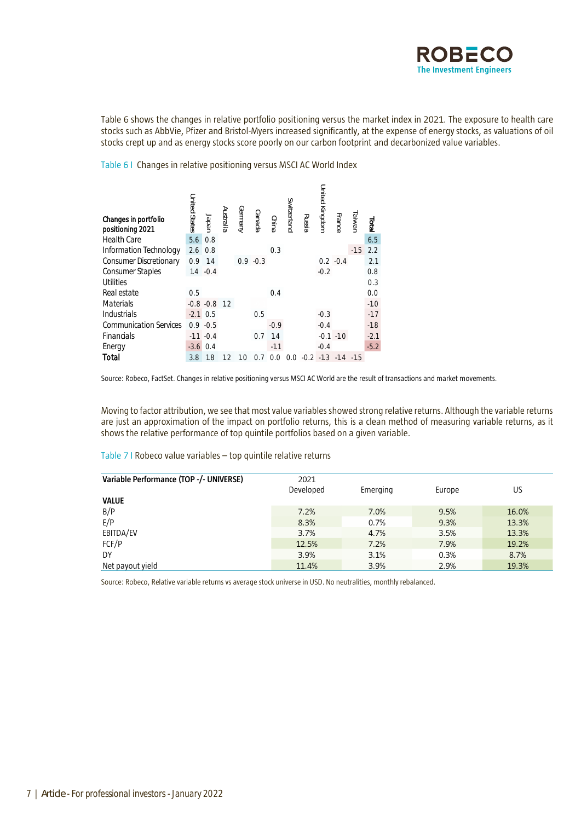

Table 6 shows the changes in relative portfolio positioning versus the market index in 2021. The exposure to health care stocks such as AbbVie, Pfizer and Bristol-Myers increased significantly, at the expense of energy stocks, as valuations of oil stocks crept up and as energy stocks score poorly on our carbon footprint and decarbonized value variables.

Table 6 I Changes in relative positioning versus MSCI AC World Index

| Changes in portfolio<br>positioning 2021 | <b>United States</b> | Japan            | Australia | Germany | canada      | China  | Switzerland | Russia | United Kingdom | France       | <b>Taiwar</b> | liai   |
|------------------------------------------|----------------------|------------------|-----------|---------|-------------|--------|-------------|--------|----------------|--------------|---------------|--------|
| <b>Health Care</b>                       | 5.6                  | 0.8              |           |         |             |        |             |        |                |              |               | 6.5    |
| Information Technology                   | 2.6                  | 0.8              |           |         |             | 0.3    |             |        |                |              | $-1.5$        | 2.2    |
| <b>Consumer Discretionary</b>            | 0.9                  | 1.4              |           |         | $0.9 - 0.3$ |        |             |        |                | $0.2 - 0.4$  |               | 2.1    |
| <b>Consumer Staples</b>                  |                      | $1.4 - 0.4$      |           |         |             |        |             |        | $-0.2$         |              |               | 0.8    |
| Utilities                                |                      |                  |           |         |             |        |             |        |                |              |               | 0.3    |
| Real estate                              | 0.5                  |                  |           |         |             | 0.4    |             |        |                |              |               | 0.0    |
| Materials                                |                      | $-0.8 - 0.8$ 1.2 |           |         |             |        |             |        |                |              |               | $-1.0$ |
| Industrials                              | $-2.1$               | 0.5              |           |         | 0.5         |        |             |        | $-0.3$         |              |               | $-1.7$ |
| <b>Communication Services</b>            | 0.9                  | $-0.5$           |           |         |             | $-0.9$ |             |        | $-0.4$         |              |               | $-1.8$ |
| Financials                               | $-1.1$               | $-0.4$           |           |         | 0.7         | 1.4    |             |        |                | $-0.1 - 1.0$ |               | $-2.1$ |
| Energy                                   | $-3.6$               | 0.4              |           |         |             | $-1.1$ |             |        | $-0.4$         |              |               | $-5.2$ |
| Total                                    | 3.8                  | 1.8              | 1.2       | 1.0     | 0.7         | 0<br>∩ | 0<br>∩      | $-0.2$ | $-1.3$         | $-1.4$       | $-1.5$        |        |

Source: Robeco, FactSet. Changes in relative positioning versus MSCI AC World are the result of transactions and market movements.

Moving to factor attribution, we see that most value variables showed strong relative returns. Although the variable returns are just an approximation of the impact on portfolio returns, this is a clean method of measuring variable returns, as it shows the relative performance of top quintile portfolios based on a given variable.

Table 7 I Robeco value variables – top quintile relative returns

| Variable Performance (TOP -/- UNIVERSE) | 2021      |          |        |       |
|-----------------------------------------|-----------|----------|--------|-------|
|                                         | Developed | Emerging | Europe | US    |
| <b>VALUE</b>                            |           |          |        |       |
| B/P                                     | 7.2%      | 7.0%     | 9.5%   | 16.0% |
| E/P                                     | 8.3%      | 0.7%     | 9.3%   | 13.3% |
| EBITDA/EV                               | 3.7%      | 4.7%     | 3.5%   | 13.3% |
| FCF/P                                   | 12.5%     | 7.2%     | 7.9%   | 19.2% |
| DY                                      | 3.9%      | 3.1%     | 0.3%   | 8.7%  |
| Net payout yield                        | 11.4%     | 3.9%     | 2.9%   | 19.3% |

Source: Robeco, Relative variable returns vs average stock universe in USD. No neutralities, monthly rebalanced.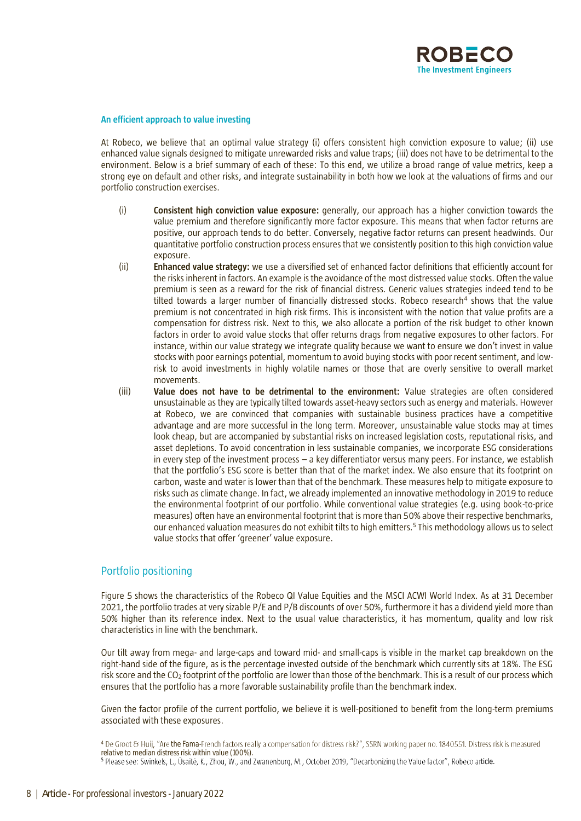

# **An efficient approach to value investing**

At Robeco, we believe that an optimal value strategy (i) offers consistent high conviction exposure to value; (ii) use enhanced value signals designed to mitigate unrewarded risks and value traps; (iii) does not have to be detrimental to the environment. Below is a brief summary of each of these: To this end, we utilize a broad range of value metrics, keep a strong eye on default and other risks, and integrate sustainability in both how we look at the valuations of firms and our portfolio construction exercises.

- (i) **Consistent high conviction value exposure:** generally, our approach has a higher conviction towards the value premium and therefore significantly more factor exposure. This means that when factor returns are positive, our approach tends to do better. Conversely, negative factor returns can present headwinds. Our quantitative portfolio construction process ensures that we consistently position to this high conviction value exposure.
- (ii) **Enhanced value strategy:** we use a diversified set of enhanced factor definitions that efficiently account for the risks inherent in factors. An example is the avoidance of the most distressed value stocks. Often the value premium is seen as a reward for the risk of financial distress. Generic values strategies indeed tend to be tilted towards a larger number of financially distressed stocks. Robeco research<sup>4</sup> shows that the value premium is not concentrated in high risk firms. This is inconsistent with the notion that value profits are a compensation for distress risk. Next to this, we also allocate a portion of the risk budget to other known factors in order to avoid value stocks that offer returns drags from negative exposures to other factors. For instance, within our value strategy we integrate quality because we want to ensure we don't invest in value stocks with poor earnings potential, momentum to avoid buying stocks with poor recent sentiment, and lowrisk to avoid investments in highly volatile names or those that are overly sensitive to overall market movements.
- (iii) **Value does not have to be detrimental to the environment:** Value strategies are often considered unsustainable as they are typically tilted towards asset-heavy sectors such as energy and materials. However at Robeco, we are convinced that companies with sustainable business practices have a competitive advantage and are more successful in the long term. Moreover, unsustainable value stocks may at times look cheap, but are accompanied by substantial risks on increased legislation costs, reputational risks, and asset depletions. To avoid concentration in less sustainable companies, we incorporate ESG considerations in every step of the investment process – a key differentiator versus many peers. For instance, we establish that the portfolio's ESG score is better than that of the market index. We also ensure that its footprint on carbon, waste and water is lower than that of the benchmark. These measures help to mitigate exposure to risks such as climate change. In fact, we already implemented an innovative methodology in 2019 to reduce the environmental footprint of our portfolio. While conventional value strategies (e.g. using book-to-price measures) often have an environmental footprint that is more than 50% above their respective benchmarks, our enhanced valuation measures do not exhibit tilts to high emitters.<sup>5</sup> This methodology allows us to select value stocks that offer 'greener' value exposure.

# Portfolio positioning

Figure 5 shows the characteristics of the Robeco QI Value Equities and the MSCI ACWI World Index. As at 31 December 2021, the portfolio trades at very sizable P/E and P/B discounts of over 50%, furthermore it has a dividend yield more than 50% higher than its reference index. Next to the usual value characteristics, it has momentum, quality and low risk characteristics in line with the benchmark.

Our tilt away from mega- and large-caps and toward mid- and small-caps is visible in the market cap breakdown on the right-hand side of the figure, as is the percentage invested outside of the benchmark which currently sits at 18%. The ESG risk score and the CO<sup>2</sup> footprint of the portfolio are lower than those of the benchmark. This is a result of our process which ensures that the portfolio has a more favorable sustainability profile than the benchmark index.

Given the factor profile of the current portfolio, we believe it is well-positioned to benefit from the long-term premiums associated with these exposures.

<sup>&</sup>lt;sup>4</sup> De Groot & Huij, "Are the Famarelative to median distress risk within value (100%).

<sup>5</sup> Please see: Swinkels, L., Ūsaitė, K., Zhou, W., and Zwanenburg, M., October 2019, "Decarbonizing the Value factor", Robeco article.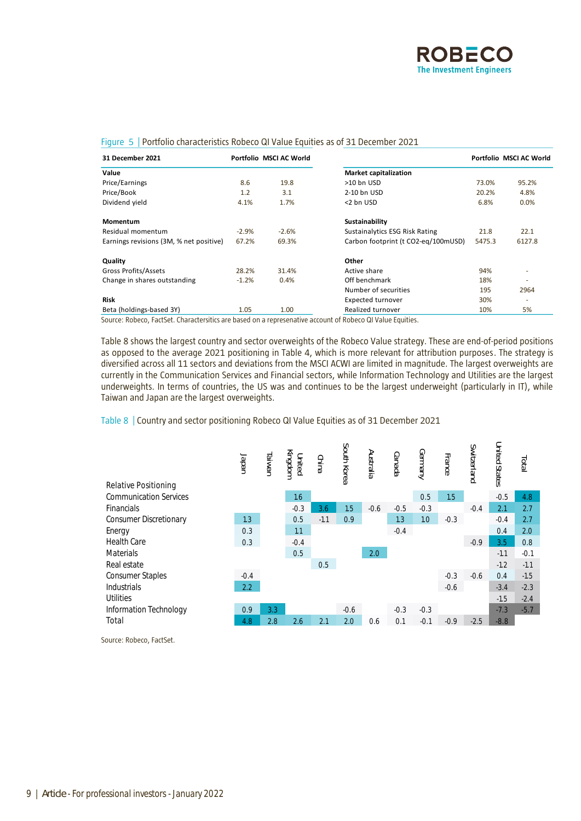

| 31 December 2021                        |         | Portfolio MSCI AC World |                                     |        | Portfolio MSCI AC World |
|-----------------------------------------|---------|-------------------------|-------------------------------------|--------|-------------------------|
| Value                                   |         |                         | <b>Market capitalization</b>        |        |                         |
| Price/Earnings                          | 8.6     | 19.8                    | >10 bn USD                          | 73.0%  | 95.2%                   |
| Price/Book                              | 1.2     | 3.1                     | 2-10 bn USD                         | 20.2%  | 4.8%                    |
| Dividend yield                          | 4.1%    | 1.7%                    | <2 bn USD                           | 6.8%   | 0.0%                    |
| Momentum                                |         |                         | Sustainability                      |        |                         |
| Residual momentum                       | $-2.9%$ | $-2.6%$                 | Sustainalytics ESG Risk Rating      | 21.8   | 22.1                    |
| Earnings revisions (3M, % net positive) | 67.2%   | 69.3%                   | Carbon footprint (t CO2-eq/100mUSD) | 5475.3 | 6127.8                  |
| Quality                                 |         |                         | Other                               |        |                         |
| Gross Profits/Assets                    | 28.2%   | 31.4%                   | Active share                        | 94%    |                         |
| Change in shares outstanding            | $-1.2%$ | 0.4%                    | Off benchmark                       | 18%    | ٠                       |
|                                         |         |                         | Number of securities                | 195    | 2964                    |
| <b>Risk</b>                             |         |                         | <b>Expected turnover</b>            | 30%    | ٠                       |
| Beta (holdings-based 3Y)                | 1.05    | 1.00                    | Realized turnover                   | 10%    | 5%                      |

# Figure 5 | Portfolio characteristics Robeco QI Value Equities as of 31 December 2021

Source: Robeco, FactSet. Charactersitics are based on a represenative account of Robeco QI Value Equities.

Table 8 shows the largest country and sector overweights of the Robeco Value strategy. These are end-of-period positions as opposed to the average 2021 positioning in Table 4, which is more relevant for attribution purposes. The strategy is diversified across all 11 sectors and deviations from the MSCI ACWI are limited in magnitude. The largest overweights are currently in the Communication Services and Financial sectors, while Information Technology and Utilities are the largest underweights. In terms of countries, the US was and continues to be the largest underweight (particularly in IT), while Taiwan and Japan are the largest overweights.



# Table 8 | Country and sector positioning Robeco QI Value Equities as of 31 December 2021

Source: Robeco, FactSet.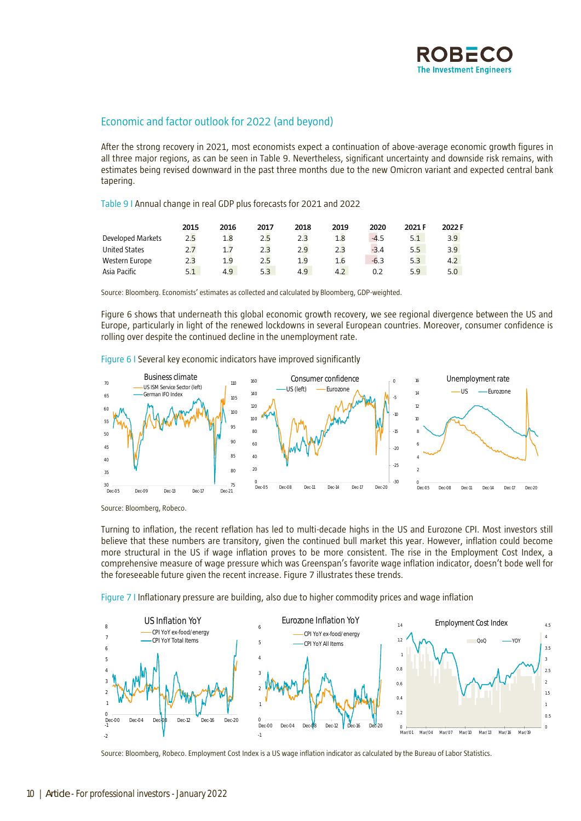

# Economic and factor outlook for 2022 (and beyond)

After the strong recovery in 2021, most economists expect a continuation of above-average economic growth figures in all three major regions, as can be seen in Table 9. Nevertheless, significant uncertainty and downside risk remains, with estimates being revised downward in the past three months due to the new Omicron variant and expected central bank tapering.

Table 9 I Annual change in real GDP plus forecasts for 2021 and 2022

|                      | 2015 | 2016           | 2017 | 2018 | 2019 | 2020   | 2021 F | 2022 F |
|----------------------|------|----------------|------|------|------|--------|--------|--------|
| Developed Markets    | 2.5  | 1.8            | 2.5  | 2.3  |      | $-4.5$ | 5.1    | 3.9    |
| <b>United States</b> |      | 1.7            | 2.3  | 2.9  | 2.3  | $-3.4$ | 5.5    | 3.9    |
| Western Europe       | 2.3  | 1 <sup>q</sup> | 2.5  | 1.9  |      | $-6.3$ | 5.3    | 4.2    |
| Asia Pacific         | 5.1  | 4.9            | 5.3  | 4.9  |      |        | 5.9    |        |

Source: Bloomberg. Economists' estimates as collected and calculated by Bloomberg, GDP-weighted.

Figure 6 shows that underneath this global economic growth recovery, we see regional divergence between the US and Europe, particularly in light of the renewed lockdowns in several European countries. Moreover, consumer confidence is rolling over despite the continued decline in the unemployment rate.

Figure 6 I Several key economic indicators have improved significantly



Source: Bloomberg, Robeco.

Turning to inflation, the recent reflation has led to multi-decade highs in the US and Eurozone CPI. Most investors still believe that these numbers are transitory, given the continued bull market this year. However, inflation could become more structural in the US if wage inflation proves to be more consistent. The rise in the Employment Cost Index, a comprehensive measure of wage pressure which was Greenspan's favorite wage inflation indicator, doesn't bode well for the foreseeable future given the recent increase. Figure 7 illustrates these trends.

Figure 7 I Inflationary pressure are building, also due to higher commodity prices and wage inflation

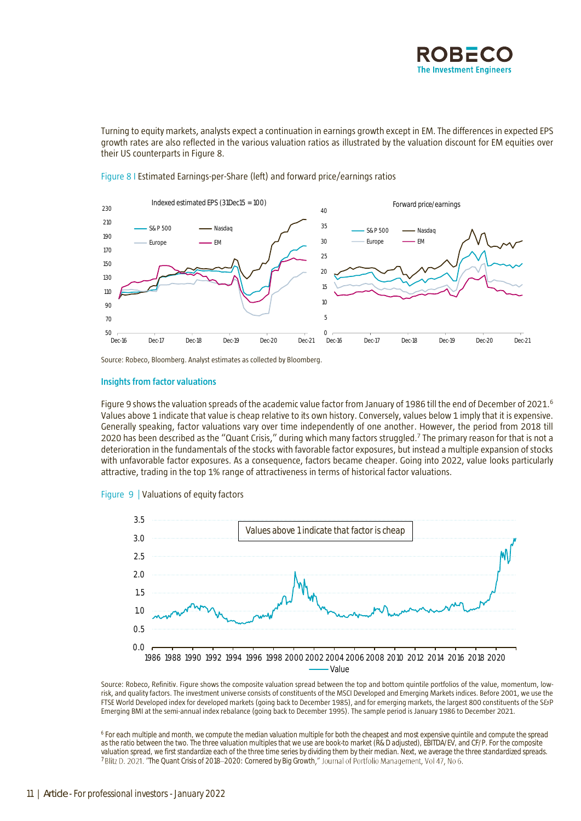

Turning to equity markets, analysts expect a continuation in earnings growth except in EM. The differences in expected EPS growth rates are also reflected in the various valuation ratios as illustrated by the valuation discount for EM equities over their US counterparts in Figure 8.



# Figure 8 I Estimated Earnings-per-Share (left) and forward price/earnings ratios

Source: Robeco, Bloomberg. Analyst estimates as collected by Bloomberg.

# **Insights from factor valuations**

Figure 9 shows the valuation spreads of the academic value factor from January of 1986 till the end of December of 2021.<sup>6</sup> Values above 1 indicate that value is cheap relative to its own history. Conversely, values below 1 imply that it is expensive. Generally speaking, factor valuations vary over time independently of one another. However, the period from 2018 till 2020 has been described as the "Quant Crisis," during which many factors struggled.<sup>7</sup> The primary reason for that is not a deterioration in the fundamentals of the stocks with favorable factor exposures, but instead a multiple expansion of stocks with unfavorable factor exposures. As a consequence, factors became cheaper. Going into 2022, value looks particularly attractive, trading in the top 1% range of attractiveness in terms of historical factor valuations.





Source: Robeco, Refinitiv. Figure shows the composite valuation spread between the top and bottom quintile portfolios of the value, momentum, lowrisk, and quality factors. The investment universe consists of constituents of the MSCI Developed and Emerging Markets indices. Before 2001, we use the FTSE World Developed index for developed markets (going back to December 1985), and for emerging markets, the largest 800 constituents of the S&P Emerging BMI at the semi-annual index rebalance (going back to December 1995). The sample period is January 1986 to December 2021.

6 For each multiple and month, we compute the median valuation multiple for both the cheapest and most expensive quintile and compute the spread as the ratio between the two. The three valuation multiples that we use are book-to market (R&D adjusted), EBITDA/EV, and CF/P. For the composite valuation spread, we first standardize each of the three time series by dividing them by their median. Next, we average the three standardized spreads. <sup>7</sup> Blitz D. 2021. "The Quant Crisis of 2018-2020: Cornered by Big Growth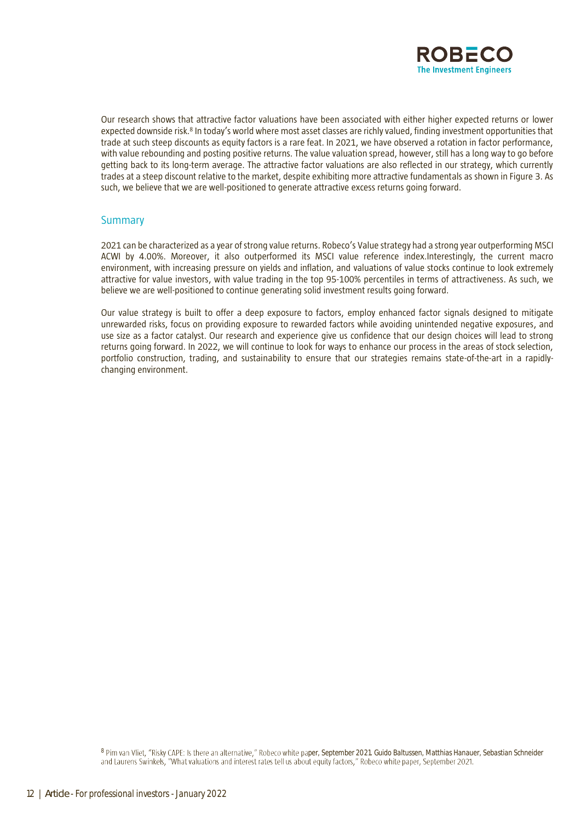

Our research shows that attractive factor valuations have been associated with either higher expected returns or lower expected downside risk.<sup>8</sup> In today's world where most asset classes are richly valued, finding investment opportunities that trade at such steep discounts as equity factors is a rare feat. In 2021, we have observed a rotation in factor performance, with value rebounding and posting positive returns. The value valuation spread, however, still has a long way to go before getting back to its long-term average. The attractive factor valuations are also reflected in our strategy, which currently trades at a steep discount relative to the market, despite exhibiting more attractive fundamentals as shown in Figure 3. As such, we believe that we are well-positioned to generate attractive excess returns going forward.

# Summary

2021 can be characterized as a year of strong value returns. Robeco's Value strategy had a strong year outperforming MSCI ACWI by 4.00%. Moreover, it also outperformed its MSCI value reference index.Interestingly, the current macro environment, with increasing pressure on yields and inflation, and valuations of value stocks continue to look extremely attractive for value investors, with value trading in the top 95-100% percentiles in terms of attractiveness. As such, we believe we are well-positioned to continue generating solid investment results going forward.

Our value strategy is built to offer a deep exposure to factors, employ enhanced factor signals designed to mitigate unrewarded risks, focus on providing exposure to rewarded factors while avoiding unintended negative exposures, and use size as a factor catalyst. Our research and experience give us confidence that our design choices will lead to strong returns going forward. In 2022, we will continue to look for ways to enhance our process in the areas of stock selection, portfolio construction, trading, and sustainability to ensure that our strategies remains state-of-the-art in a rapidlychanging environment.

8 Pim van Vliet, "Risky CAPE: Is there an alternative," Robeco white paper, September 2021. Guido Baltussen, Matthias Hanauer, Sebastian Schneider and Laurens Swinkels, "What valuations and interest rates tell us about equ